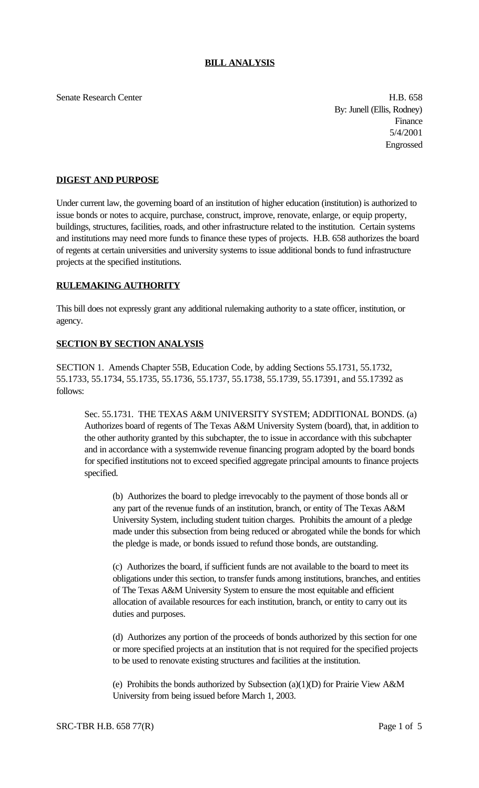Senate Research Center **H.B. 658** 

By: Junell (Ellis, Rodney) Finance 5/4/2001 Engrossed

## **DIGEST AND PURPOSE**

Under current law, the governing board of an institution of higher education (institution) is authorized to issue bonds or notes to acquire, purchase, construct, improve, renovate, enlarge, or equip property, buildings, structures, facilities, roads, and other infrastructure related to the institution. Certain systems and institutions may need more funds to finance these types of projects. H.B. 658 authorizes the board of regents at certain universities and university systems to issue additional bonds to fund infrastructure projects at the specified institutions.

## **RULEMAKING AUTHORITY**

This bill does not expressly grant any additional rulemaking authority to a state officer, institution, or agency.

## **SECTION BY SECTION ANALYSIS**

SECTION 1. Amends Chapter 55B, Education Code, by adding Sections 55.1731, 55.1732, 55.1733, 55.1734, 55.1735, 55.1736, 55.1737, 55.1738, 55.1739, 55.17391, and 55.17392 as follows:

Sec. 55.1731. THE TEXAS A&M UNIVERSITY SYSTEM; ADDITIONAL BONDS. (a) Authorizes board of regents of The Texas A&M University System (board), that, in addition to the other authority granted by this subchapter, the to issue in accordance with this subchapter and in accordance with a systemwide revenue financing program adopted by the board bonds for specified institutions not to exceed specified aggregate principal amounts to finance projects specified.

(b) Authorizes the board to pledge irrevocably to the payment of those bonds all or any part of the revenue funds of an institution, branch, or entity of The Texas A&M University System, including student tuition charges. Prohibits the amount of a pledge made under this subsection from being reduced or abrogated while the bonds for which the pledge is made, or bonds issued to refund those bonds, are outstanding.

(c) Authorizes the board, if sufficient funds are not available to the board to meet its obligations under this section, to transfer funds among institutions, branches, and entities of The Texas A&M University System to ensure the most equitable and efficient allocation of available resources for each institution, branch, or entity to carry out its duties and purposes.

(d) Authorizes any portion of the proceeds of bonds authorized by this section for one or more specified projects at an institution that is not required for the specified projects to be used to renovate existing structures and facilities at the institution.

(e) Prohibits the bonds authorized by Subsection (a)(1)(D) for Prairie View A&M University from being issued before March 1, 2003.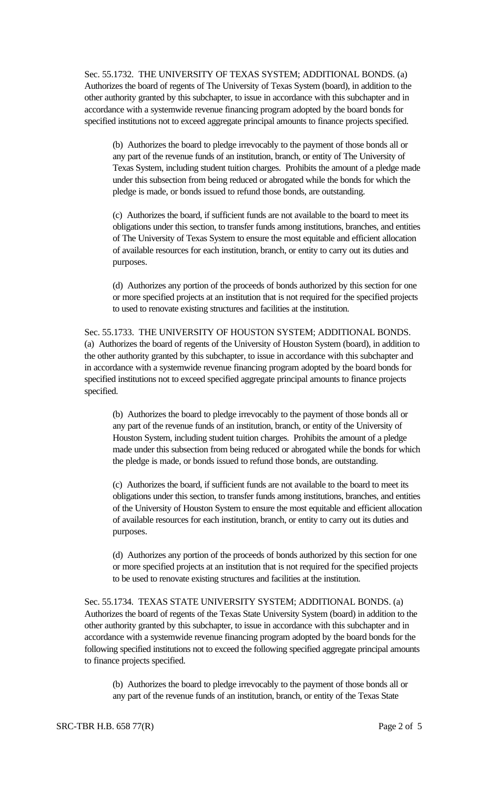Sec. 55.1732. THE UNIVERSITY OF TEXAS SYSTEM; ADDITIONAL BONDS. (a) Authorizes the board of regents of The University of Texas System (board), in addition to the other authority granted by this subchapter, to issue in accordance with this subchapter and in accordance with a systemwide revenue financing program adopted by the board bonds for specified institutions not to exceed aggregate principal amounts to finance projects specified.

(b) Authorizes the board to pledge irrevocably to the payment of those bonds all or any part of the revenue funds of an institution, branch, or entity of The University of Texas System, including student tuition charges. Prohibits the amount of a pledge made under this subsection from being reduced or abrogated while the bonds for which the pledge is made, or bonds issued to refund those bonds, are outstanding.

(c) Authorizes the board, if sufficient funds are not available to the board to meet its obligations under this section, to transfer funds among institutions, branches, and entities of The University of Texas System to ensure the most equitable and efficient allocation of available resources for each institution, branch, or entity to carry out its duties and purposes.

(d) Authorizes any portion of the proceeds of bonds authorized by this section for one or more specified projects at an institution that is not required for the specified projects to used to renovate existing structures and facilities at the institution.

Sec. 55.1733. THE UNIVERSITY OF HOUSTON SYSTEM; ADDITIONAL BONDS. (a) Authorizes the board of regents of the University of Houston System (board), in addition to the other authority granted by this subchapter, to issue in accordance with this subchapter and in accordance with a systemwide revenue financing program adopted by the board bonds for specified institutions not to exceed specified aggregate principal amounts to finance projects specified.

(b) Authorizes the board to pledge irrevocably to the payment of those bonds all or any part of the revenue funds of an institution, branch, or entity of the University of Houston System, including student tuition charges. Prohibits the amount of a pledge made under this subsection from being reduced or abrogated while the bonds for which the pledge is made, or bonds issued to refund those bonds, are outstanding.

(c) Authorizes the board, if sufficient funds are not available to the board to meet its obligations under this section, to transfer funds among institutions, branches, and entities of the University of Houston System to ensure the most equitable and efficient allocation of available resources for each institution, branch, or entity to carry out its duties and purposes.

(d) Authorizes any portion of the proceeds of bonds authorized by this section for one or more specified projects at an institution that is not required for the specified projects to be used to renovate existing structures and facilities at the institution.

Sec. 55.1734. TEXAS STATE UNIVERSITY SYSTEM; ADDITIONAL BONDS. (a) Authorizes the board of regents of the Texas State University System (board) in addition to the other authority granted by this subchapter, to issue in accordance with this subchapter and in accordance with a systemwide revenue financing program adopted by the board bonds for the following specified institutions not to exceed the following specified aggregate principal amounts to finance projects specified.

(b) Authorizes the board to pledge irrevocably to the payment of those bonds all or any part of the revenue funds of an institution, branch, or entity of the Texas State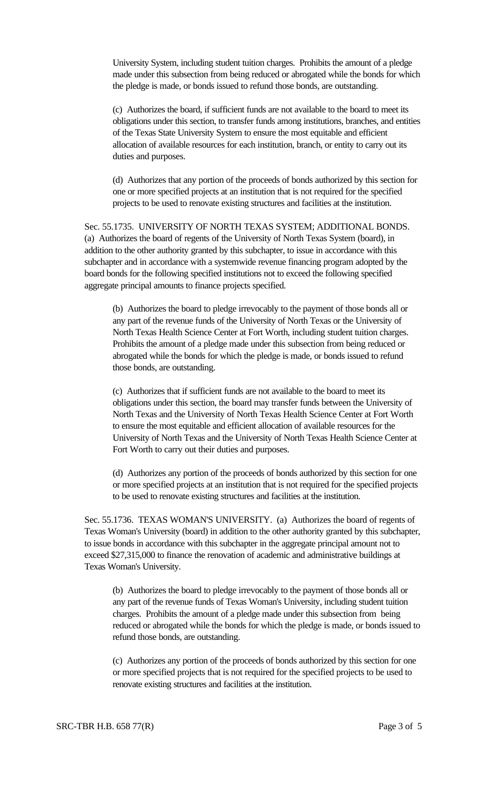University System, including student tuition charges. Prohibits the amount of a pledge made under this subsection from being reduced or abrogated while the bonds for which the pledge is made, or bonds issued to refund those bonds, are outstanding.

(c) Authorizes the board, if sufficient funds are not available to the board to meet its obligations under this section, to transfer funds among institutions, branches, and entities of the Texas State University System to ensure the most equitable and efficient allocation of available resources for each institution, branch, or entity to carry out its duties and purposes.

(d) Authorizes that any portion of the proceeds of bonds authorized by this section for one or more specified projects at an institution that is not required for the specified projects to be used to renovate existing structures and facilities at the institution.

Sec. 55.1735. UNIVERSITY OF NORTH TEXAS SYSTEM; ADDITIONAL BONDS. (a) Authorizes the board of regents of the University of North Texas System (board), in addition to the other authority granted by this subchapter, to issue in accordance with this subchapter and in accordance with a systemwide revenue financing program adopted by the board bonds for the following specified institutions not to exceed the following specified aggregate principal amounts to finance projects specified.

(b) Authorizes the board to pledge irrevocably to the payment of those bonds all or any part of the revenue funds of the University of North Texas or the University of North Texas Health Science Center at Fort Worth, including student tuition charges. Prohibits the amount of a pledge made under this subsection from being reduced or abrogated while the bonds for which the pledge is made, or bonds issued to refund those bonds, are outstanding.

(c) Authorizes that if sufficient funds are not available to the board to meet its obligations under this section, the board may transfer funds between the University of North Texas and the University of North Texas Health Science Center at Fort Worth to ensure the most equitable and efficient allocation of available resources for the University of North Texas and the University of North Texas Health Science Center at Fort Worth to carry out their duties and purposes.

(d) Authorizes any portion of the proceeds of bonds authorized by this section for one or more specified projects at an institution that is not required for the specified projects to be used to renovate existing structures and facilities at the institution.

Sec. 55.1736. TEXAS WOMAN'S UNIVERSITY. (a) Authorizes the board of regents of Texas Woman's University (board) in addition to the other authority granted by this subchapter, to issue bonds in accordance with this subchapter in the aggregate principal amount not to exceed \$27,315,000 to finance the renovation of academic and administrative buildings at Texas Woman's University.

(b) Authorizes the board to pledge irrevocably to the payment of those bonds all or any part of the revenue funds of Texas Woman's University, including student tuition charges. Prohibits the amount of a pledge made under this subsection from being reduced or abrogated while the bonds for which the pledge is made, or bonds issued to refund those bonds, are outstanding.

(c) Authorizes any portion of the proceeds of bonds authorized by this section for one or more specified projects that is not required for the specified projects to be used to renovate existing structures and facilities at the institution.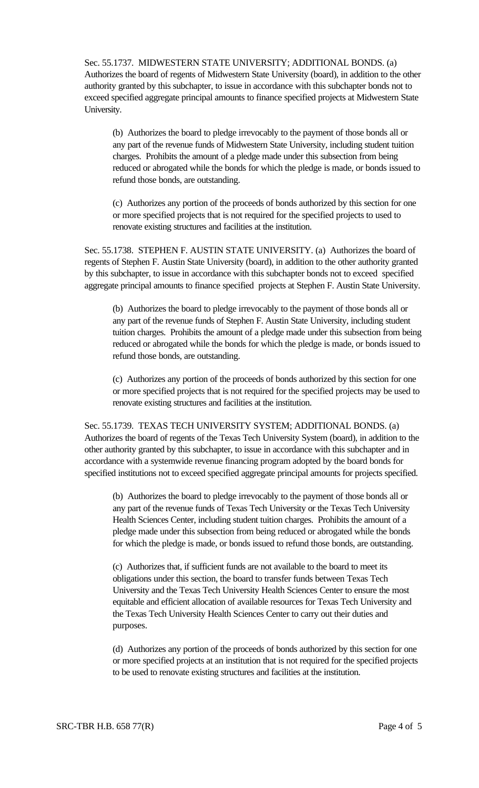Sec. 55.1737. MIDWESTERN STATE UNIVERSITY; ADDITIONAL BONDS. (a) Authorizes the board of regents of Midwestern State University (board), in addition to the other authority granted by this subchapter, to issue in accordance with this subchapter bonds not to exceed specified aggregate principal amounts to finance specified projects at Midwestern State University.

(b) Authorizes the board to pledge irrevocably to the payment of those bonds all or any part of the revenue funds of Midwestern State University, including student tuition charges. Prohibits the amount of a pledge made under this subsection from being reduced or abrogated while the bonds for which the pledge is made, or bonds issued to refund those bonds, are outstanding.

(c) Authorizes any portion of the proceeds of bonds authorized by this section for one or more specified projects that is not required for the specified projects to used to renovate existing structures and facilities at the institution.

Sec. 55.1738. STEPHEN F. AUSTIN STATE UNIVERSITY. (a) Authorizes the board of regents of Stephen F. Austin State University (board), in addition to the other authority granted by this subchapter, to issue in accordance with this subchapter bonds not to exceed specified aggregate principal amounts to finance specified projects at Stephen F. Austin State University.

(b) Authorizes the board to pledge irrevocably to the payment of those bonds all or any part of the revenue funds of Stephen F. Austin State University, including student tuition charges. Prohibits the amount of a pledge made under this subsection from being reduced or abrogated while the bonds for which the pledge is made, or bonds issued to refund those bonds, are outstanding.

(c) Authorizes any portion of the proceeds of bonds authorized by this section for one or more specified projects that is not required for the specified projects may be used to renovate existing structures and facilities at the institution.

Sec. 55.1739. TEXAS TECH UNIVERSITY SYSTEM; ADDITIONAL BONDS. (a) Authorizes the board of regents of the Texas Tech University System (board), in addition to the other authority granted by this subchapter, to issue in accordance with this subchapter and in accordance with a systemwide revenue financing program adopted by the board bonds for specified institutions not to exceed specified aggregate principal amounts for projects specified.

(b) Authorizes the board to pledge irrevocably to the payment of those bonds all or any part of the revenue funds of Texas Tech University or the Texas Tech University Health Sciences Center, including student tuition charges. Prohibits the amount of a pledge made under this subsection from being reduced or abrogated while the bonds for which the pledge is made, or bonds issued to refund those bonds, are outstanding.

(c) Authorizes that, if sufficient funds are not available to the board to meet its obligations under this section, the board to transfer funds between Texas Tech University and the Texas Tech University Health Sciences Center to ensure the most equitable and efficient allocation of available resources for Texas Tech University and the Texas Tech University Health Sciences Center to carry out their duties and purposes.

(d) Authorizes any portion of the proceeds of bonds authorized by this section for one or more specified projects at an institution that is not required for the specified projects to be used to renovate existing structures and facilities at the institution.